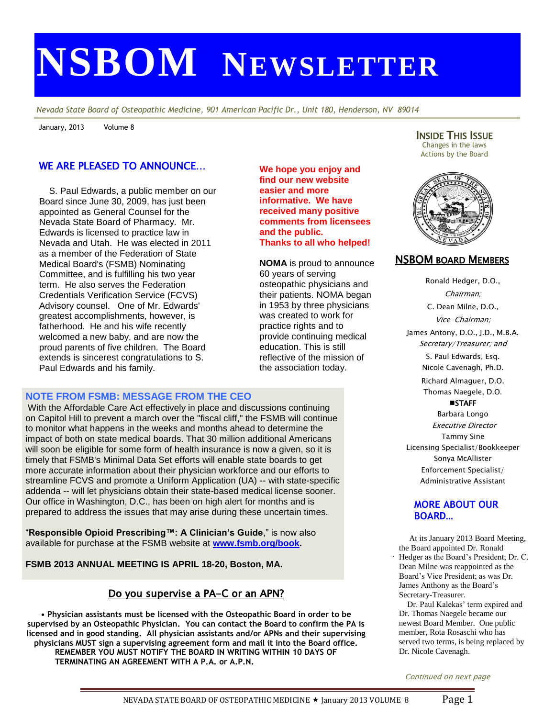# **NSBOM NEWSLETTER**

*Nevada State Board of Osteopathic Medicine, 901 American Pacific Dr., Unit 180, Henderson, NV 89014*

**We hope you enjoy and find our new website easier and more informative. We have received many positive comments from licensees** 

**Thanks to all who helped!**

**NOMA** is proud to announce

osteopathic physicians and their patients. NOMA began in 1953 by three physicians was created to work for practice rights and to provide continuing medical education. This is still reflective of the mission of the association today.

**and the public.**

60 years of serving

January, 2013 Volume 8

#### WE ARE PLEASED TO ANNOUNCE…

 S. Paul Edwards, a public member on our Board since June 30, 2009, has just been appointed as General Counsel for the Nevada State Board of Pharmacy. Mr. Edwards is licensed to practice law in Nevada and Utah. He was elected in 2011 as a member of the Federation of State Medical Board's (FSMB) Nominating Committee, and is fulfilling his two year term. He also serves the Federation Credentials Verification Service (FCVS) Advisory counsel. One of Mr. Edwards' greatest accomplishments, however, is fatherhood. He and his wife recently welcomed a new baby, and are now the proud parents of five children. The Board extends is sincerest congratulations to S. Paul Edwards and his family.

#### **NOTE FROM FSMB: MESSAGE FROM THE CEO**

With the Affordable Care Act effectively in place and discussions continuing on Capitol Hill to prevent a march over the "fiscal cliff," the FSMB will continue to monitor what happens in the weeks and months ahead to determine the impact of both on state medical boards. That 30 million additional Americans will soon be eligible for some form of health insurance is now a given, so it is timely that FSMB's Minimal Data Set efforts will enable state boards to get more accurate information about their physician workforce and our efforts to streamline FCVS and promote a Uniform Application (UA) -- with state-specific addenda -- will let physicians obtain their state-based medical license sooner. Our office in Washington, D.C., has been on high alert for months and is prepared to address the issues that may arise during these uncertain times.

"**Responsible Opioid Prescribing™: A Clinician's Guide**," is now also available for purchase at the FSMB website at **[www.fsmb.org/book.](http://www.fsmb.org/book)**

**FSMB 2013 ANNUAL MEETING IS APRIL 18-20, Boston, MA.**

#### Do you supervise a PA-C or an APN?

• Physician assistants must be licensed with the Osteopathic Board in order to be supervised by an Osteopathic Physician. You can contact the Board to confirm the PA is<br>... licensed and in good standing. All physician assistants and/or APNs and their supervising physicians MUST sign a supervising agreement form and mail it into the Board office.<br>
www.leg.state.nv.us.nv.us.nv.us.nv.us.nv.us.nv.us.nu.us.nu.us.nu.us.nu.us.nu.us.nu.us.nu.us.nu.us.nu.us.nu.us **REMEMBER YOU MUST NOTIFY THE BOARD IN WRITING WITHIN 10 DAYS OF TERMINATING AN AGREEMENT WITH A P.A. or A.P.N.**  $\mathbf{p}$  board in order to be INSIDE THIS ISSUE Changes in the laws Actions by the Board



#### NSBOM BOARD MEMBERS

Ronald Hedger, D.O., Chairman; C. Dean Milne, D.O., Vice-Chairman; James Antony, D.O., J.D., M.B.A. Secretary/Treasurer; and S. Paul Edwards, Esq. Nicole Cavenagh, Ph.D. Richard Almaguer, D.O. Thomas Naegele, D.O. **STAFF** Barbara Longo Executive Director Tammy Sine Licensing Specialist/Bookkeeper Sonya McAllister

#### **MORE ABOUT OUR BOARD…**

Enforcement Specialist/ Administrative Assistant

. At its January 2013 Board Meeting, the Board appointed Dr. Ronald Hedger as the Board's President; Dr. C. Dean Milne was reappointed as the Board's Vice President; as was Dr. James Anthony as the Board's Secretary-Treasurer.

 Dr. Paul Kalekas' term expired and Dr. Thomas Naegele became our newest Board Member. One public member, Rota Rosaschi who has served two terms, is being replaced by Dr. Nicole Cavenagh.

Continued on next page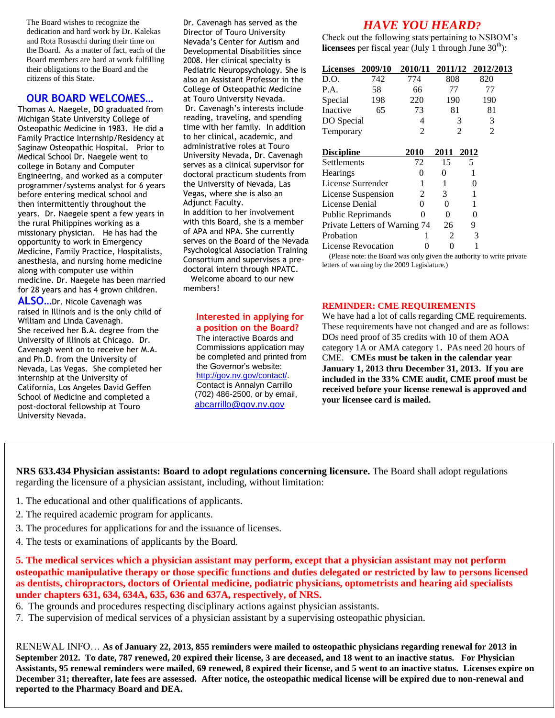The Board wishes to recognize the dedication and hard work by Dr. Kalekas and Rota Rosaschi during their time on the Board. As a matter of fact, each of the Board members are hard at work fulfilling their obligations to the Board and the citizens of this State.

#### **OUR BOARD WELCOMES…**

Thomas A. Naegele, DO graduated from Michigan State University College of Osteopathic Medicine in 1983. He did a Family Practice Internship/Residency at Saginaw Osteopathic Hospital. Prior to Medical School Dr. Naegele went to college in Botany and Computer Engineering, and worked as a computer programmer/systems analyst for 6 years before entering medical school and then intermittently throughout the years. Dr. Naegele spent a few years in the rural Philippines working as a missionary physician. He has had the opportunity to work in Emergency Medicine, Family Practice, Hospitalists, anesthesia, and nursing home medicine along with computer use within medicine. Dr. Naegele has been married for 28 years and has 4 grown children.

**ALSO…**Dr. Nicole Cavenagh was raised in Illinois and is the only child of William and Linda Cavenagh. She received her B.A. degree from the University of Illinois at Chicago. Dr. Cavenagh went on to receive her M.A. and Ph.D. from the University of Nevada, Las Vegas. She completed her internship at the University of California, Los Angeles David Geffen School of Medicine and completed a post-doctoral fellowship at Touro University Nevada.

Dr. Cavenagh has served as the Director of Touro University Nevada's Center for Autism and Developmental Disabilities since 2008. Her clinical specialty is Pediatric Neuropsychology. She is also an Assistant Professor in the College of Osteopathic Medicine at Touro University Nevada. Dr. Cavenagh's interests include reading, traveling, and spending time with her family. In addition to her clinical, academic, and administrative roles at Touro University Nevada, Dr. Cavenagh serves as a clinical supervisor for doctoral practicum students from the University of Nevada, Las Vegas, where she is also an Adjunct Faculty. In addition to her involvement with this Board, she is a member of APA and NPA. She currently serves on the Board of the Nevada Psychological Association Training Consortium and supervises a predoctoral intern through NPATC. Welcome aboard to our new

members!

#### **Interested in applying for a position on the Board?**

The interactive Boards and Commissions application may be completed and printed from the Governor's website: [http://gov.nv.gov/contact/.](http://gov.nv.gov/contact/) Contact is Annalyn Carrillo (702) 486-2500, or by email, [abcarrillo@gov.nv.gov](mailto:abcarrillo@gov.nv.gov)

### *HAVE YOU HEARD?*

Check out the following stats pertaining to NSBOM's **licensees** per fiscal year (July 1 through June  $30<sup>th</sup>$ ):

| <b>Licenses</b> 2009/10       |     | 2010/11        | 2011/12 2012/2013 |      |     |  |
|-------------------------------|-----|----------------|-------------------|------|-----|--|
| D.O.                          | 742 | 774            | 808               |      | 820 |  |
| P.A.                          | 58  | 66             | 77                |      | 77  |  |
| Special                       | 198 | 220            | 190               |      | 190 |  |
| Inactive                      | 65  | 73             | 81                |      | 81  |  |
| DO Special                    |     | 4              | 3                 |      | 3   |  |
| Temporary                     |     | $\overline{2}$ | 2                 |      | 2   |  |
| <b>Discipline</b>             |     | 2010           | 2011              | 2012 |     |  |
| Settlements                   |     | 72             | 15                | 5    |     |  |
| <b>Hearings</b>               |     | 0              | 0                 |      |     |  |
| License Surrender             |     |                | 1                 |      | 0   |  |
| License Suspension            |     | 2              | 3                 |      | 1   |  |
| License Denial                |     | 0              | 0                 |      | 1   |  |
| Public Reprimands             |     | 0              | 0                 |      | 0   |  |
| Private Letters of Warning 74 |     |                | 26                |      | 9   |  |
| Probation                     |     |                | 2                 |      | 3   |  |
| License Revocation            |     | 0              | 0                 |      |     |  |

 (Please note: the Board was only given the authority to write private letters of warning by the 2009 Legislature.)

#### **REMINDER: CME REQUIREMENTS**

We have had a lot of calls regarding CME requirements. These requirements have not changed and are as follows: DOs need proof of 35 credits with 10 of them AOA category 1A or AMA category 1**.** PAs need 20 hours of CME. **CMEs must be taken in the calendar year January 1, 2013 thru December 31, 2013. If you are included in the 33% CME audit, CME proof must be received before your license renewal is approved and your licensee card is mailed.**

**NRS 633.434 Physician assistants: Board to adopt regulations concerning licensure.** The Board shall adopt regulations regarding the licensure of a physician assistant, including, without limitation:

- 1. The educational and other qualifications of applicants.
- 2. The required academic program for applicants.

**BOARD OFFICE AT 6:00p.m. UNLESS** 

- 3. The procedures for applications for and the issuance of licenses.
- 4. The tests or examinations of applicants by the Board.

**5. The medical services which a physician assistant may perform, except that a physician assistant may not perform** as dentists, chiropractors, doctors of Oriental medicine, podiatric physicians, optometrists and hearing aid specialists under chapters 631, 634, 634A, 635, 636 and 637A, respectively, of NRS. **osteopathic manipulative therapy or those specific functions and duties delegated or restricted by law to persons licensed** 

6. The grounds and procedures respecting disciplinary actions against physician assistants.

7. The supervision of medical services of a physician assistant by a supervising osteopathic physician. May 14

the Governor's website:

June 11 RENEWAL INFO... As of January 22, 2013, 855 reminders were mailed to osteopathic physicians regarding renewal for 2013 in **September 2012.** To date, 787 renewed, 20 expired their license, 3 are deceased, and 18 went to an inactive status. For Physician Assistants, 95 renewal reminders were mailed, 69 renewed, 8 expired their license, and 5 went to an inactive status. Licenses expire on December 31; thereafter, late fees are assessed. After notice, the osteopathic medical license will be expired due to non-renewal and reported to the Pharmacy Board and DEA. **ALL MEETINGS ARE HELD AT THE**  Commissions application may